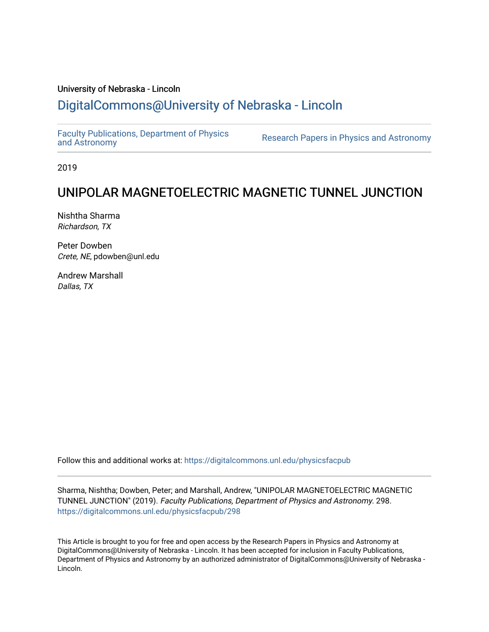## University of Nebraska - Lincoln [DigitalCommons@University of Nebraska - Lincoln](https://digitalcommons.unl.edu/)

[Faculty Publications, Department of Physics](https://digitalcommons.unl.edu/physicsfacpub) 

Research Papers in Physics [and Astronomy](https://digitalcommons.unl.edu/physicsfacpub)

2019

# UNIPOLAR MAGNETOELECTRIC MAGNETIC TUNNEL JUNCTION

Nishtha Sharma Richardson, TX

Peter Dowben Crete, NE, pdowben@unl.edu

Andrew Marshall Dallas, TX

Follow this and additional works at: [https://digitalcommons.unl.edu/physicsfacpub](https://digitalcommons.unl.edu/physicsfacpub?utm_source=digitalcommons.unl.edu%2Fphysicsfacpub%2F298&utm_medium=PDF&utm_campaign=PDFCoverPages)

Sharma, Nishtha; Dowben, Peter; and Marshall, Andrew, "UNIPOLAR MAGNETOELECTRIC MAGNETIC TUNNEL JUNCTION" (2019). Faculty Publications, Department of Physics and Astronomy. 298. [https://digitalcommons.unl.edu/physicsfacpub/298](https://digitalcommons.unl.edu/physicsfacpub/298?utm_source=digitalcommons.unl.edu%2Fphysicsfacpub%2F298&utm_medium=PDF&utm_campaign=PDFCoverPages)

This Article is brought to you for free and open access by the Research Papers in Physics and Astronomy at DigitalCommons@University of Nebraska - Lincoln. It has been accepted for inclusion in Faculty Publications, Department of Physics and Astronomy by an authorized administrator of DigitalCommons@University of Nebraska - Lincoln.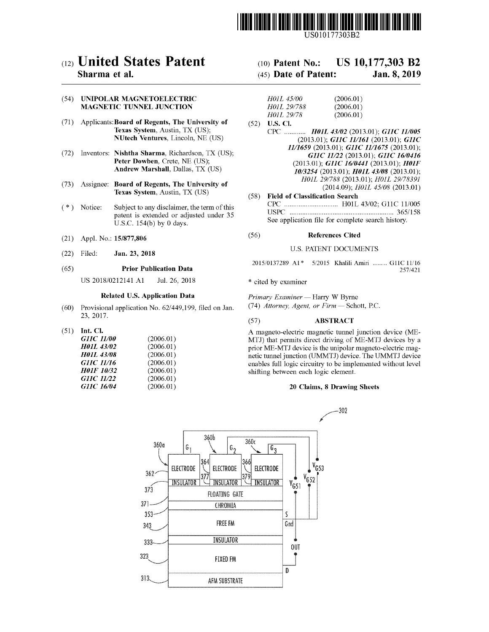

US010177303B2

### (54) UNIPOLAR MAGNETOELECTRIC MAGNETIC TUNNEL JUNCTION

- (71) Applicants: Board of Regents, The University of  $(52)$  U.S. Cl.<br>Texas System, Austin, TX (US);  $CPC$ NUtech Ventures, Lincoln, NE (US)
- (72) Inventors: Nishtha Sharma, Richardson, TX (US); Peter Dowben, Crete, NE (US); Andrew Marshall, Dallas, TX (US)
- (73) Assignee: Board of Regents, The University of Texas System, Austin, TX (US)
- (\*) Notice: Subject to any disclaimer, the term of this patent is extended or adjusted under 35 U.S.C. 154(b) by 0 days.
- 
- 

### $(65)$ Prior Publication Data

US 2018/0212141 A1 Jul. 26, 2018 \* cited by examiner

## Related U.S. Application Data

- (60) Provisional application No.  $62/449,199$ , filed on Jan. 23, 2017.
- $(51)$  Int. Cl.

| <i>G11C 11/00</i> | (2006.01) |
|-------------------|-----------|
| <b>H01L 43/02</b> | (2006.01) |
| <b>H01L 43/08</b> | (2006.01) |
| <i>GHC 11/16</i>  | (2006.01) |
| <b>H01F 10/32</b> | (2006.01) |
| GHC 11/22         | (2006.01) |
| GHC 16/04         | (2006.01) |

## (12) **United States Patent** (10) Patent No.: US 10,177,303 B2<br>
Sharma et al. (45) Date of Patent: Jan. 8, 2019  $(45)$  Date of Patent: Jan. 8, 2019

| H011, 45/00 | (2006.01) |
|-------------|-----------|
| H01L 29/788 | (2006.01) |
| H011, 29/78 | (2006.01) |
|             |           |

- CPC ............ H01L 43/02 (2013.01); G11C 11/005 (2013.01); GIIC 11/161 (2013.01); GIIC  $11/1659$  (2013.01); G11C 11/1675 (2013.01); GIIC 11/22 (2013.01); GIIC 16/0416  $(2013.01);$  G11C  $16/0441$  (2013.01); H01F 10/3254 (2013.01); H01L 43/08 (2013.01); H01L 29/788 (2013.01); H01L 29/78391  $(2014.09)$ ;  $H01L$   $45/08$   $(2013.01)$
- Field of Classification Search CPC . . . . . . . . . . . . . . . . . . . . . . . . . . . HOIL 43 / 02 ; G11C 11 / 005 USPC . . . . . . . . . . . . . . . . . . . . . 365 / 158 See application file for complete search history.

## (21) Appl. No.: 15/877,806 (56) References Cited

## (22) Filed: **Jan. 23, 2018** U.S. PATENT DOCUMENTS

| 2015/0137289 A1* 5/2015 Khalili Amiri  G11C 11/16 |  |  |         |
|---------------------------------------------------|--|--|---------|
|                                                   |  |  | 257/421 |

Primary Examiner — Harry W Byrne

 $(74)$  Attorney, Agent, or Firm  $-$  Schott, P.C.

## ( 57 ) ABSTRACT

A magneto-electric magnetic tunnel junction device (ME-MTJ) that permits direct driving of ME-MTJ devices by a prior ME-MTJ device is the unipolar magneto-electric magnetic tunnel junction (UMMTJ) device. The UMMTJ device enables full logic circuitry to be implemented without level shifting between each logic element.

### 20 Claims, 8 Drawing Sheets

302

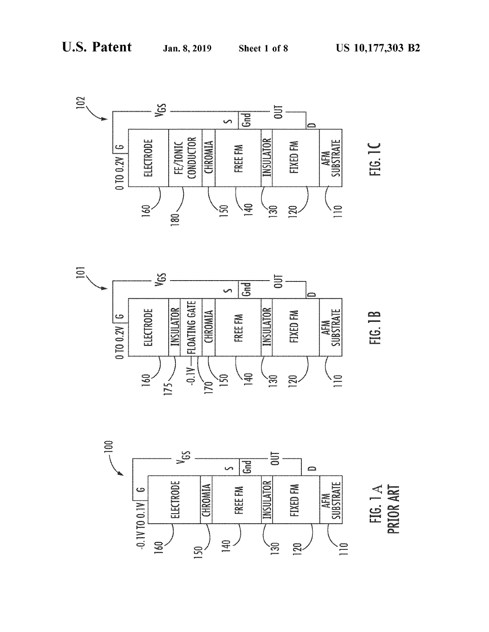



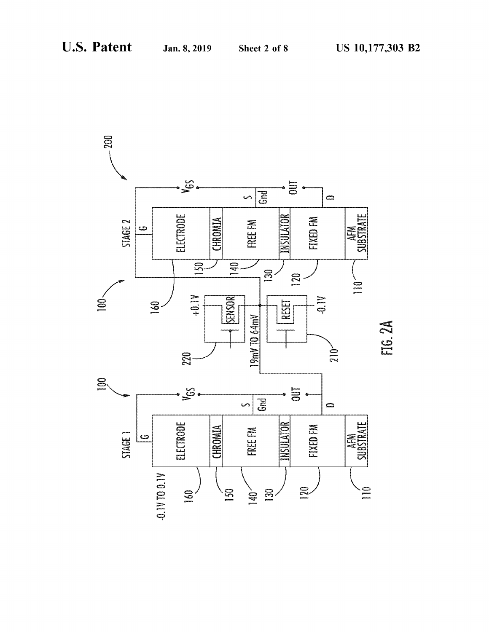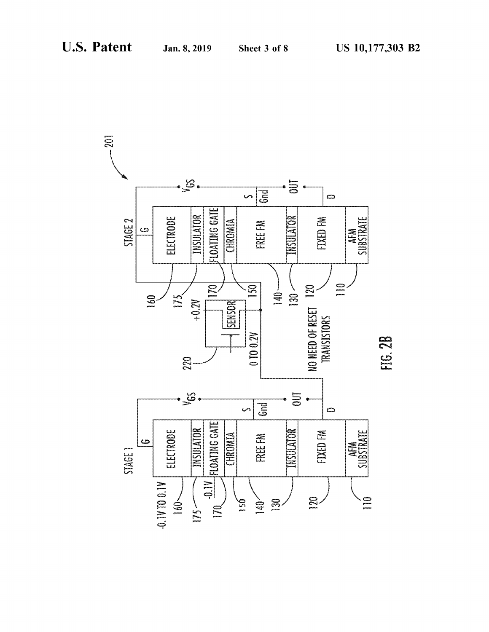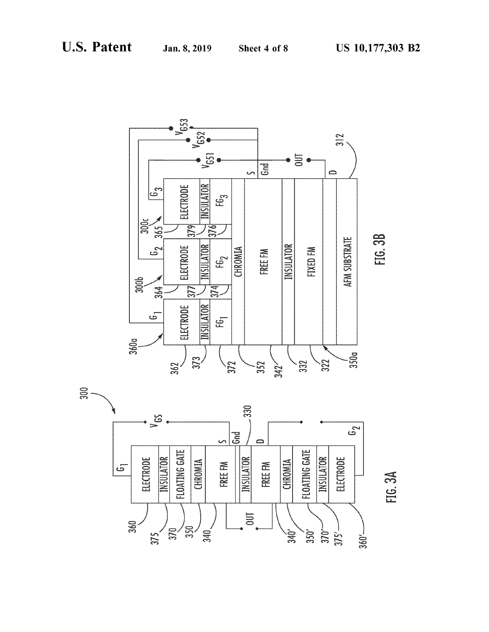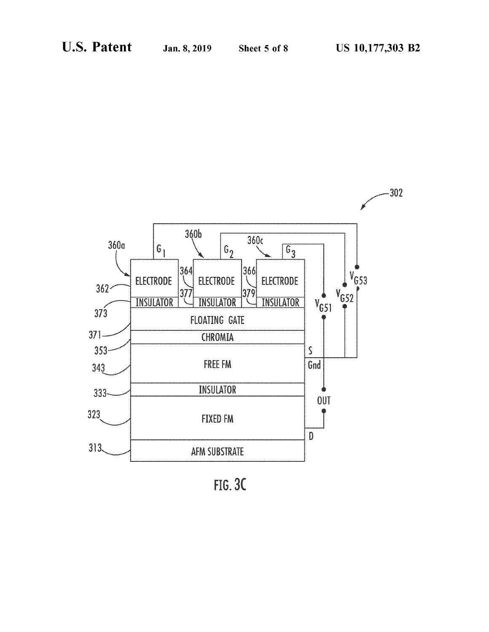

 $FIG. 3C$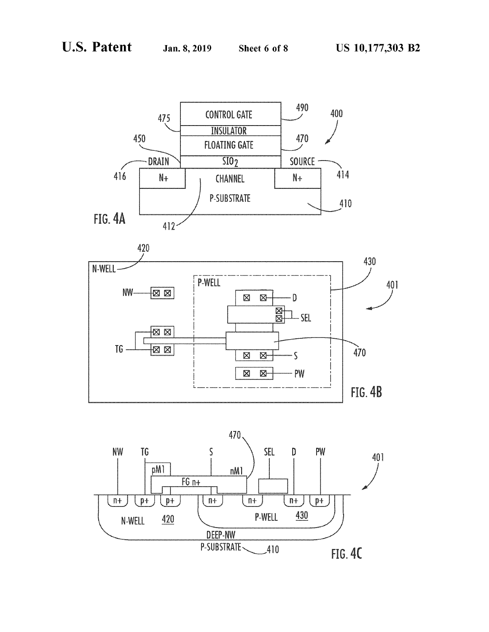



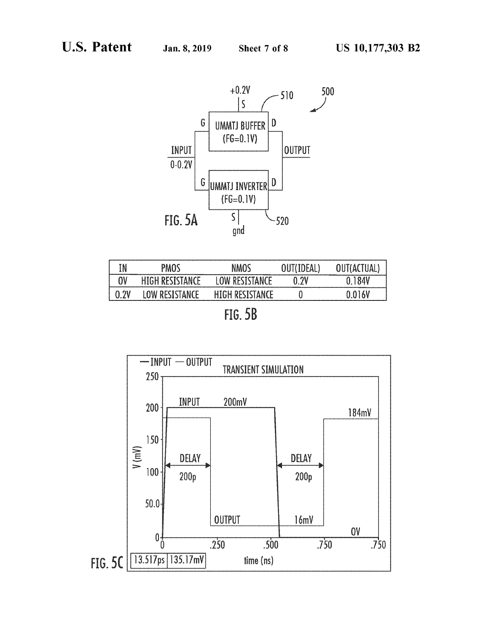

| IN          | PMOS                   | พมกร                             | OUT(IDEAL, | UUT(ACTUAL,              |
|-------------|------------------------|----------------------------------|------------|--------------------------|
| OV          | <b>HIGH RESISTANCE</b> | <b>' OW RESISTANCE</b>           | 0 7V       | П<br>------------------- |
| <u>ດ າທ</u> | <b>I AW RESISTANCE</b> | <b>HIGH RECICTANCE</b>           |            | 0 0 1 A V                |
|             |                        | <b>PR</b><br><b>See Mr. Sec.</b> |            |                          |

FIG. 5B

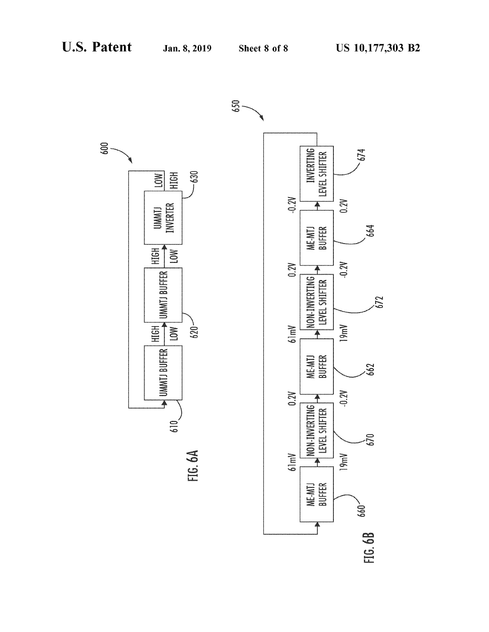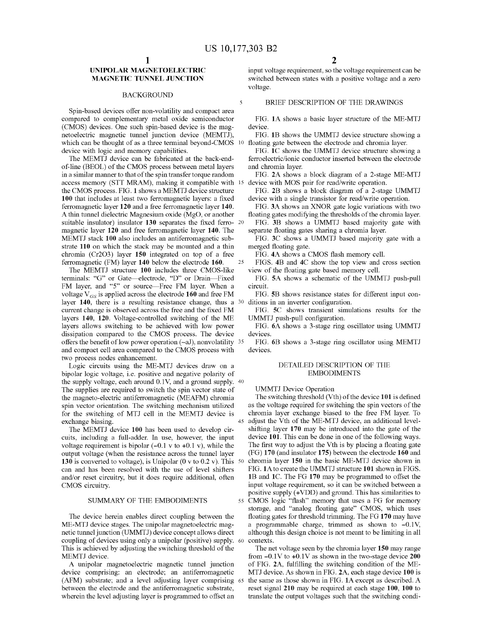5

### **BACKGROUND**

Spin-based devices offer non-volatility and compact area compared to complementary metal oxide semiconductor FIG. 1A shows a basic layer structure of the ME-MTJ (CMOS) devices. One such spin-based device is the mag-<br>device. netoelectric magnetic tunnel junction device (MEMTJ), FIG. 1B shows the UMMTJ device structure showing a which can be thought of as a three terminal beyond-CMOS 10 floating gate between the electrode and chromia layer. which can be thought of as a three terminal beyond-CMOS 10 floating gate between the electrode and chromia layer.<br>
FIG. 1C shows the UMMTJ device structure showing a<br>
The MEMTJ device can be fabricated at the back-end-<br>
fe

in a similar manner to that of the spin transfer torque random FIG. 2A shows a block diagram of a 2-stage ME-MTJ access memory (STT MRAM), making it compatible with 15 device with MOS pair for read/write operation. the CMOS process. FIG. 1 shows a MEMTJ device structure FIG. 2B shows a block diagram of a 2-stage UMMTJ 100 that includes at least two ferromagnetic layers: a fixed device with a single transistor for read/write operation ferromagnetic layer 120 and a free ferromagnetic layer 140. FIG. 3A shows an XNOR gate logic variations with two A thin tunnel dielectric Magnesium oxide (MgO, or another floating gates modifying the thresholds of the chro suitable insulator) insulator 130 separates the fixed ferro- 20 FIG. 3B shows a UMMTJ based majority gate with magnetic layer 120 and free ferromagnetic layer 140. The separate floating gates sharing a chromia layer. magnetic layer 120 and free ferromagnetic layer 140. The MEMTJ stack 100 also includes an antiferromagnetic sub-<br>strate 110 on which the stack may be mounted and a thin merged floating gate. strate 110 on which the stack may be mounted and a thin merged floating gate.<br>
chromia (Cr2O3) layer 150 integrated on top of a free FIG. 4A shows a CMOS flash memory cell.

terminals: "G" or Gate—electrode, "D" or Drain—Fixed FIG. 5A shows a schematic of the UMMTJ push-pull FM layer, and "5" or source—Free FM layer. When a circuit. voltage  $V_{GS}$  is applied across the electrode 160 and free FM FIG. 5B shows resistance states for different input con-<br>layer 140, there is a resulting resistance change, thus a <sup>30</sup> ditions in an inverter configuration. layer 140, the is observed across the free and the fixed FM FIG. 5C shows transient simulations results for the layers 140, 120. Voltage-controlled switching of the ME UMMTJ push-pull configuration. layers allows switching to be achieved with low power FIG. 6A shows a 3-stage ring oscillator using UMMTJ dissipation compared to the CMOS process. The device devices. offers the benefit of low power operation  $(-aJ)$ , nonvolatility  $35$  FIG. 6B shows a 3-stage ring oscillator using MEMTJ and compact cell area compared to the CMOS process with devices.

two process nodes enhancement.<br>
Logic circuits using the ME-MTJ devices draw on a DETAILED DESCRIPTION OF THE<br>
bipolar logic voltage, i.e. positive and negative polarity of BMBODIMENTS bipolar logic voltage, i.e. positive and negative polarity of the supply voltage, each around 0.1V, and a ground supply. 40 The supplies are required to switch the spin vector state of UMMTJ Device Operation<br>the magneto-electric antiferromagnetic (MEAFM) chromia The switching threshold (Vth) of the device 101 is defined the magneto-electric antiferromagnetic (MEAFM) chromia The switching threshold (Vth) of the device 101 is defined<br>spin vector orientation. The switching mechanism utilized as the voltage required for switching the spin vec spin vector orientation. The switching mechanism utilized as the voltage required for switching the spin vectors of the free FM layer. To for the switching of MTJ cell in the MEMTJ device is chromia layer exchange biased t for the switching of MTJ cell in the MEMTJ device is exchange biasing.

voltage requirement is bipolar  $(-0.1 \text{ v to } +0.1 \text{ v})$ , while the The first way to adjust the Vth is by placing a floating gate<br>output voltage (when the resistance across the tunnel layer (FG) 170 (and insulator 175) betwee output voltage (when the resistance across the tunnel layer  $130$  is converted to voltage), is Unipolar (0 v to 0.2 v). This  $50$ 130 is converted to voltage), is Unipolar (0 v to 0.2 v). This 50 chromia layer 150 in the basic ME-MTJ device shown in can and has been resolved with the use of level shifters FIG. 1A to create the UMMTJ structure 101 sh and/or reset circuitry, but it does require additional, often and 1C. The FG 170 may be programmed to offset the input voltage requirement, so it can be switched between a

ME-MTJ device stages. The unipolar magnetoelectric mag-<br>netro a programmable charge, trimmed as shown to -0.1V,<br>netic tunnel junction (UMMTJ) device concept allows direct although this design choice is not meant to be limi This is achieved by adjusting the switching threshold of the The net voltage seen by the chromia layer  $150$  may range MEMTJ device. 200 from  $-0.1V$  to  $+0.1V$  as shown in the two-stage device  $200$ 

(AFM) substrate; and a level adjusting layer comprising 65 between the electrode and the antiferromagnetic substrate, between the electrode and the antiferromagnetic substrate, reset signal 210 may be required at each stage 100, 100 to wherein the level adjusting layer is programmed to offset an translate the output voltages such that the

UNIPOLAR MAGNETOELECTRIC input voltage requirement, so the voltage requirement can be<br>MAGNETIC TUNNEL JUNCTION switched between states with a positive voltage and a zero switched between states with a positive voltage and a zero voltage.

### BRIEF DESCRIPTION OF THE DRAWINGS

The MEMTJ device can be fabricated at the back-end-<br>of-line (BEOL) of the CMOS process between metal layers and chromia layer.

ferromagnetic (FM) layer 140 below the electrode 160.  $25$  FIGS. 4B and 4C show the top view and cross section The MEMTJ structure 100 includes three CMOS-like view of the floating gate based memory cell.

adjust the Vth of the ME-MTJ device, an additional level-<br>shifting layer  $170$  may be introduced into the gate of the The MEMTJ device 100 has been used to develop cir-<br>cuits, including a full-adder. In use, however, the input device 101. This can be done in one of the following ways. input voltage requirement, so it can be switched between a positive supply (+VDD) and ground. This has similarities to SUMMARY OF THE EMBODIMENTS 55 CMOS logic "flash" memory that uses a FG for memory storage, and "analog floating gate" CMOS, which uses The device herein enables direct coupling between the floating gates for threshold trimming. The FG 170 may have

EMTJ device.<br>A unipolar magnetoelectric magnetic tunnel junction of FIG. 2A, fulfilling the switching condition of the ME-A unipolar magnetoelectric magnetic tunnel junction of FIG. 2A, fulfilling the switching condition of the ME-<br>device comprising: an electrode; an antiferromagnetic MTJ device. As shown in FIG. 2A, each stage device 100 is MTJ device. As shown in FIG. 2A, each stage device 100 is the same as those shown in FIG. 1A except as described. A translate the output voltages such that the switching condi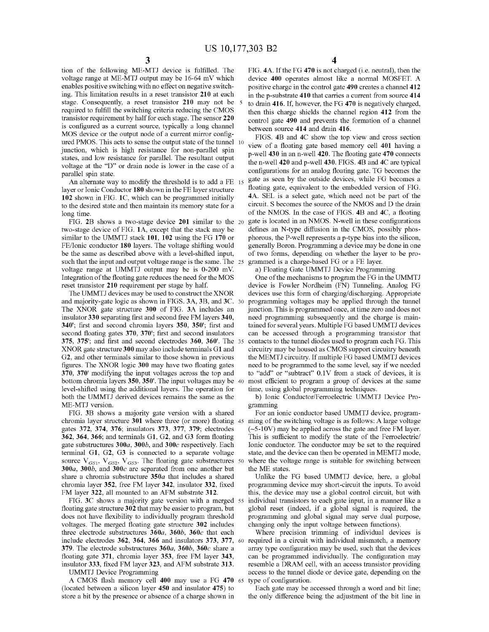tion of the following ME-MTJ device is fulfilled. The FIG 4A If the FG 470 is not charged (i.e. neutral), then the voltage range at ME-MTJ output may be 16-64 mV which device 400 operates almost like a normal MOSFET. A voltage range at ME-MTJ output may be 16-64 mV which device 400 operates almost like a normal MOSFET. A enables positive switching with no effect on negative switch-<br>positive charge in the control gate 490 creates a channe enables positive switching with no effect on negative switch-<br>in the positive charge in the control gate 490 creates a channel 412<br>ing. This limitation results in a reset transistor 210 at each<br>in the p-substrate 410 that ing. This limitation results in a reset transistor 210 at each in the p-substrate 410 that carries a current from source 414 stage. Consequently, a reset transistor 210 may not be  $\frac{5}{5}$  to drain 416. If, however, the stage. Consequently, a reset transistor 210 may not be 5 to drain 416. If, however, the FG 470 is negatively charged,<br>required to fulfill the switching criteria reducing the CMOS<br>transistor requirement by half for each st p - well 430 in an n-well 420. The floating gate 470 connects states, and low resistance for parallel. The resultant output states states at the "D" can drain node is lower in the goes of c voltage at the "D" or drain node is lower in the case of a parallel spin state.

layer or Ionic Conductor 180 shown in the FE layer structure<br>102 shown in FIG. 1C, which can be programmed initially<br>to the desired state and then maintain its memory state for a<br>to the desired state and then maintain its to the desired state and then maintain its memory state for a long time.

similar to the UMMTJ stack 101, 102 using the FG 170 or phorous, the P-well represents a p-type bias into the silicon, FE/Jonic conductor 180 layers. The voltage shifting would generally Boron. Programming a device may be such that the input and output voltage range is the same. The 25 grammed is a charge-based FG or a FE layer.<br>
voltage range at UMMTJ output may be is 0-200 mV. a) Floating Gate UMMTJ Device Programming<br>
Integration of the

and majority-gate logic as shown in FIGS. 3A, 3B, and 3C. 30 programming voltages may be applied through the tunnel The XNOR gate structure 300 of FIG. 3A includes an junction. This is programmed once, at time zero and does not insulator 330 separating first and second free FM layers 340, need programming subsequently and the charge is insulator 330 separating first and second free FM layers 340, and programming subsequently and the charge is main-<br>340'; first and second chromia layers 350, 350'; first and tained for several years. Multiple FG based UMMT 340'; first and second chromia layers 350, 350'; first and tained for several years. Multiple FG based UMMTJ devices second floating gates 370, 370'; first and second insulators can be accessed through a programming transi 375, 375'; and first and second electrodes 360, 360'. The 35 XNOR gate structure 300 may also include terminals G1 and XNOR gate structure 300 may also include terminals G1 and circuitry may be housed as CMOS support circuitry beneath<br>G2, and other terminals similar to those shown in previous the MEMTJ circuitry. If multiple FG based UMMTJ figures. The XNOR logic  $300$  may have two floating gates  $370$ ,  $370'$  modifying the input voltages across the top and bottom chromia layers 350, 350'. The input voltages may be 40 level-shifted using the additional layers. The operation for time, using global programming techniques.<br>
b) Ionic Conductor/Ferroelectric UMMTJ Device Pro-<br>
ME-MTJ version.<br>
method or all the same as the b agramming

ME-MTJ version.<br>FIG. 3B shows a majority gate version with a shared For an ionic conductor based UMMTJ device, programchromia layer structure 301 where three (or more) floating  $45$  ming of the switching voltage is as follows: A large voltage gates 372, 374, 376; insulators 373, 377, 379; electrodes  $(-5-10V)$  may be applied across the ga gates 372, 374, 376; insulators 373, 377, 379; electrodes  $(-5-10V)$  may be applied across the gate and free FM layer.<br>362, 364, 366; and terminals G1, G2, and G3 form floating This is sufficient to modify the state of the terminal G1, G2, G3 is connected to a separate voltage state, and the device can then be operated in MEMTJ mode,<br>source  $V_{GS1}$ ,  $V_{GS2}$ ,  $V_{GS3}$ . The floating gate substructures 50 where the voltage range is suitable for 300a, 300b, and 300c are separated from one another but<br>share a chromia substructure 350a that includes a shared<br>chromia layer 352, free FM layer 342, insulator 332, fixed<br>FM layer 322, all mounted to an AFM substrate 312.

floating gate structure 302 that may be easier to program, but global reset (indeed, if a global signal is required, the does not have flexibility to individually program threshold programming and global signal may serve d voltages. The merged floating gate structure 302 includes changing only the input voltage between functions).<br>three electrode substructures  $360a$ ,  $360b$ ,  $360c$  that each Where precision trimming of individual devices i include electrodes 362, 364, 366 and insulators 373, 377, 60 required in a circuit with individual mismatch, a memory 379. The electrode substructures  $360a$ ,  $360b$ ,  $360c$  share a array type configuration may be used, s floating gate 371, chromia layer 353, free FM layer 343, can be programmed individually. The configuration may

(located between a silicon layer 450 and insulator 475) to Each gate may be accessed through a word and bit line;<br>store a bit by the presence or absence of a charge shown in the only difference being the adjustment of the

4

configurations for an analog floating gate. TG becomes the gate as seen by the outside devices, while FG becomes a An alternate way to modify the threshold is to add a FE  $_{15}$  gate as seen by the outside devices, while FG becomes a<br>Let or lonic Conductor 180 shown in the FE laver structure floating gate, equivalent to the embedded v of the NMOS. In the case of FIGS. 4B and 4C, a floating gate is located in an NMOS. N-well in these configurations FIG. 2B shows a two-stage device 201 similar to the 20 gate is located in an NMOS. N-well in these configurations two-stage device of FIG. 1A, except that the stack may be defines an N-type diffusion in the CMOS, possibly of two forms, depending on whether the layer to be programmed is a charge-based FG or a FE layer.

reset transistor 210 requirement per stage by half. device is Fowler Nordheim (FN) Tunneling. Analog FG<br>The UMMTJ devices may be used to construct the XNOR devices use this form of charging/discharging. Appropriate can be accessed through a programming transistor that contacts to the tunnel diodes used to program each FG. This the MEMTJ circuitry. If multiple FG based UMMTJ devices need to be programmed to the same level, say if we needed to "add" or "subtract" 0.1V from a stack of devices, it is most efficient to program a group of devices at the same

M layer 322, all mounted to an AFM substrate 312. this, the device may use a global control circuit, but with FIG. 3C shows a majority gate version with a merged  $ss$  individual transistors to each gate input, in a manner l FIG. 3C shows a majority gate version with a merged 55 individual transistors to each gate input, in a manner like a floating gate structure 302 that may be easier to program, but global reset (indeed, if a global signal i

insulator 333, fixed FM layer 323, and AFM substrate 313. resemble a DRAM cell, with an access transistor providing units UMMTJ Device Programming access to the tunnel diode or device gate, depending on the A CMOS flash me

the only difference being the adjustment of the bit line in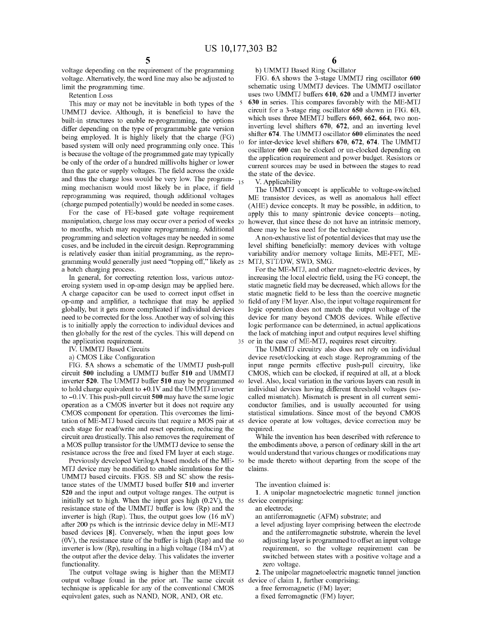voltage depending on the requirement of the programming voltage. Alternatively, the word line may also be adjusted to limit the programming time.

built-in structures to enable re-programming, the options which uses three MEMTJ buffers 660, 662, 664, two non-<br>differ depending on the twne of programmable gate version inverting level shifters 670, 672, and an inverting differ depending on the type of programmable gate version inverting level shifters  $670$ ,  $672$ , and an inverting level<br>being employed. It is highly likely that the charge (FG) shifter  $674$ . The UMMTJ oscillator  $600$  el being employed. It is highly likely that the charge (FG) shifter **674**. The UMMTJ oscillator **600** eliminates the need based system will only need programming only once. This <sup>10</sup> for inter-device level shifters **670**, **6** 

manipulation, charge loss may occur over a period of weeks  $_{20}$ For the case of FE-based gate voltage requirement<br>manipulation, charge loss may occur over a period of weeks 20 however, that since these do not have an intrinsic memory,<br>to months, which may require reprogramming. Additio is relatively easier than initial programming, as the repro-<br>gramming would generally just need "topping off," likely as 25 MTJ, STT/DW, SWD, SMG.

eroing system used in op-amp design may be applied here. static magnetic field may be decreased, which allows for the A charge capacitor can be used to correct input offset in static magnetic field to be less than the coer op - amp and amplifier , a technique that may be applied 30 field of any FM layer . Also , the input voltage requirement for globally , but it gets more complicated if individual devices logic operation does not match the output voltage of the need to be corrected for the loss. Another way of solving this device for many beyond CMOS devices. While effective is to initially apply the correction to individual devices and logic performance can be determined, in act is to initially apply the correction to individual devices and logic performance can be determined, in actual applications then globally for the rest of the cycles. This will depend on the lack of matching input and output

circuit 500 including a UMMTJ buffer 510 and UMMTJ CMOS, which can be clocked, if required at all, at a block<br>inverter 520. The UMMTJ buffer 510 may be programmed 40 level. Also, local variation in the various layers can r inverter 520. The UMMTJ buffer 510 may be programmed 40 level. Also, local variation in the various layers can result in to hold charge equivalent to +0.1V and the UMMTJ inverter individual devices having different thresho to  $-0.1V$ . This push-pull circuit 500 may have the same logic operation as a CMOS inverter but it does not require any operation as a CMOS inverter but it does not require any conductor families, and is usually accounted for using CMOS component for operation. This overcomes the limi-<br>statistical simulations. Since most of the beyond CMOS tation of ME-MTJ based circuits that require a MOS pair at 45 device operathon stage for read/write and reset operation, reducing the required. expect in read and reset operation in reducing the requirement of a metal operation and reset operation and MOS pullup transistor for the UMMTJ device to sense the the embodiments above, a person of ordinary skill in the a

Previously developed VerilogA based models of the ME-50 be made thereto without departing from the scope of the MTJ device may be modified to enable simulations for the claims. UMMTJ based circuits. FIGS. SB and SC show the resis-<br>tance states of the UMMTJ based buffer  $510$  and inverter The invention claimed is: tance states of the UMMTJ based buffer 510 and inverter The invention claimed is:<br>520 and the input and output voltage ranges. The output is 1. A unipolar magnetoelectric magnetic tunnel junction initially set to high. When the input goes high  $(0.2V)$ , the 55 device comprising: resistance state of the UMMTJ buffer is low  $(Rp)$  and the an electrode; resistance state of the UMMTJ buffer is low  $(Rp)$  and the an electrode;<br>inverter is high  $(Rap)$ . Thus, the output goes low  $(16 \text{ mV})$  an antiferromagnetic  $(AFM)$  substrate; and inverter is high (Rap). Thus, the output goes low (16 mV) an antiferromagnetic (AFM) substrate; and after 200 ps which is the intrinsic device delay in ME-MTJ a level adjusting layer comprising between the electrode after 200 ps which is the intrinsic device delay in ME-MTJ a level adjusting layer comprising between the electrode based devices [8]. Conversely, when the input goes low and the antiferromagnetic substrate, wherein the le based devices [8]. Conversely, when the input goes low and the antiferromagnetic substrate, wherein the level (0V), the resistance state of the buffer is high (Rap) and the 60 adjusting layer is programmed to offset an inp inverter is low (Rp), resulting in a high voltage (184 mV) at requirement, so the voltage requirement can be the output after the device delay. This validates the inverter switched between states with a positive voltage an the output after the device delay. This validates the inverter

functionality.<br>The output voltage swing is higher than the MEMTJ 2. The unipolar magnetoelectric magnetic tunnel junction output voltage found in the prior art. The same circuit  $\epsilon$  device of claim 1, further comprising: technique is applicable for any of the conventional CMOS a free ferromagnetic (FM) layer; technique is applicable for any of the conventional CMOS a free ferromagnetic (FM) layer;<br>equivalent gates, such as NAND, NOR, AND, OR etc. a fixed ferromagnetic (FM) layer; equivalent gates, such as NAND, NOR, AND, OR etc.

b) UMMTJ Based Ring Oscillator<br>FIG. 6A shows the 3-stage UMMTJ ring oscillator 600 nit the programming time.<br>
Retention Loss extension to the schematic using UMMTJ devices. The UMMTJ oscillator<br>
Retention Loss the UMMTJ buffers 610, 620 and a UMMTJ inverter Retention Loss<br>This may or may not be inevitable in both types of the  $\frac{1}{2}$  630 in series. This compares favorably with the ME-MTJ This may or may not be inevitable in both types of the 5 630 in series. This compares favorably with the ME-MTJ UMMTJ device. Although, it is beneficial to have the circuit for a 3-stage ring oscillator 650 shown in FIG. 6

gramming would generally just need "topping off," likely as 25 MTJ, STT/DW, SWD, SMG.<br>a batch charging process. For the ME-MTJ, and other magneto-electric devices, by<br>In general, for correcting retention loss, various auto static magnetic field to be less than the coercive magnetic

the application requirement.<br>
IV. UMMTJ Based Circuits<br>
IV. UMMTJ Based Circuits<br>
The UMMTJ circuitry also does not rely on individual<br>
a) CMOS Like Configuration<br>
of the set/clocking at each stage. Reprogramming of the a) CMOS Like Configuration device reset/clocking at each stage. Reprogramming of the FIG. 5A shows a schematic of the UMMTJ push-pull input range permits effective push-pull circuitry, like FIG. 5A shows a schematic of the UMMTJ push-pull input range permits effective push-pull circuitry, like circuit 500 including a UMMTJ buffer 510 and UMMTJ CMOS, which can be clocked, if required at all, at a block individual devices having different threshold voltages (so-<br>called mismatch). Mismatch is present in all current semistatistical simulations. Since most of the beyond CMOS device operate at low voltages, device correction may be

a MOS pullup transistor for the UMMTJ device to sense the the embodiments above, a person of ordinary skill in the art resistance across the free and fixed FM layer at each stage. would understand that various changes or m

- 
-